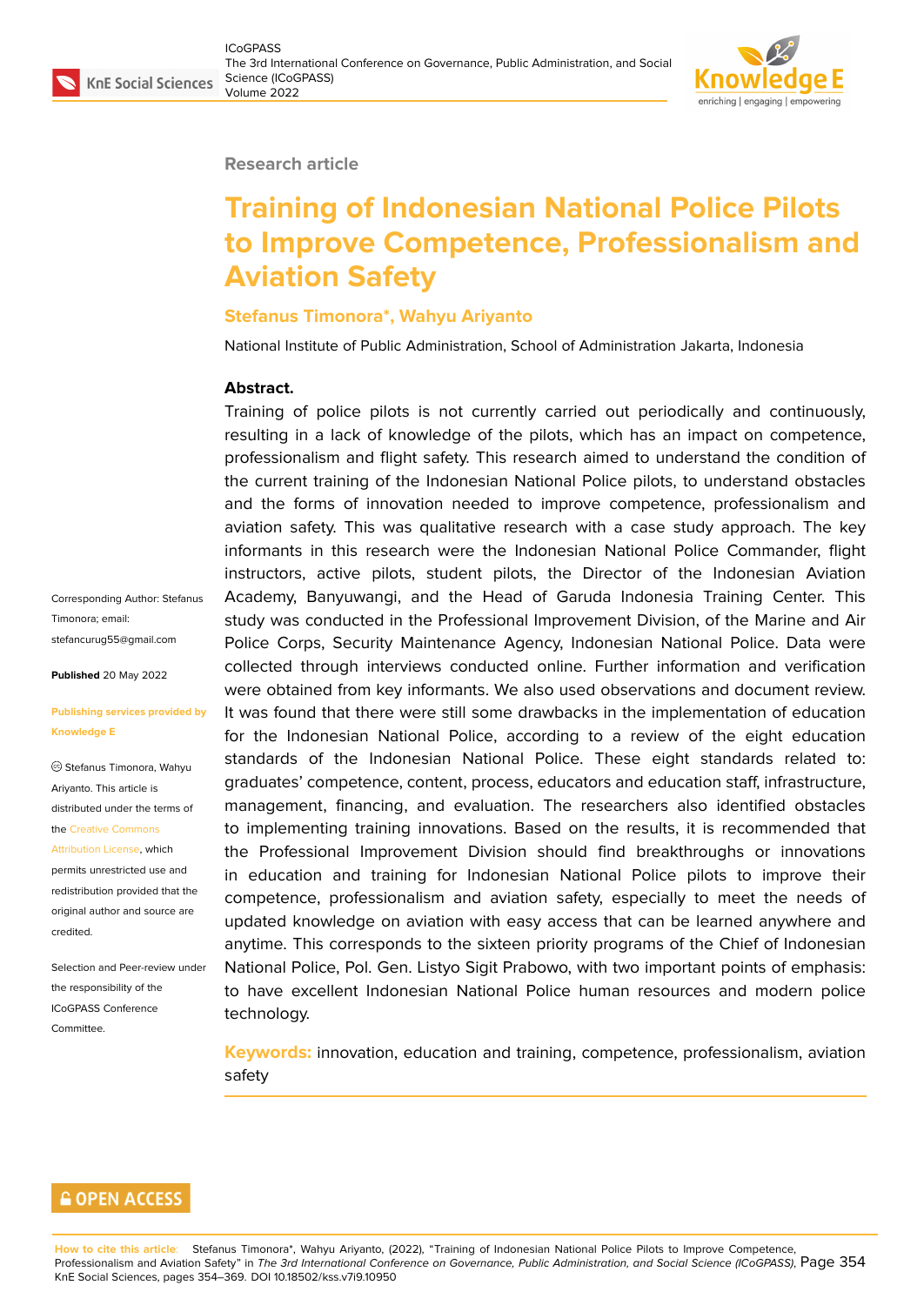### **Research article**

# **Training of Indonesian National Police Pilots to Improve Competence, Professionalism and Aviation Safety**

### **Stefanus Timonora\*, Wahyu Ariyanto**

National Institute of Public Administration, School of Administration Jakarta, Indonesia

### **Abstract.**

Training of police pilots is not currently carried out periodically and continuously, resulting in a lack of knowledge of the pilots, which has an impact on competence, professionalism and flight safety. This research aimed to understand the condition of the current training of the Indonesian National Police pilots, to understand obstacles and the forms of innovation needed to improve competence, professionalism and aviation safety. This was qualitative research with a case study approach. The key informants in this research were the Indonesian National Police Commander, flight instructors, active pilots, student pilots, the Director of the Indonesian Aviation Academy, Banyuwangi, and the Head of Garuda Indonesia Training Center. This study was conducted in the Professional Improvement Division, of the Marine and Air Police Corps, Security Maintenance Agency, Indonesian National Police. Data were collected through interviews conducted online. Further information and verification were obtained from key informants. We also used observations and document review. It was found that there were still some drawbacks in the implementation of education for the Indonesian National Police, according to a review of the eight education standards of the Indonesian National Police. These eight standards related to: graduates' competence, content, process, educators and education staff, infrastructure, management, financing, and evaluation. The researchers also identified obstacles to implementing training innovations. Based on the results, it is recommended that the Professional Improvement Division should find breakthroughs or innovations in education and training for Indonesian National Police pilots to improve their competence, professionalism and aviation safety, especially to meet the needs of updated knowledge on aviation with easy access that can be learned anywhere and anytime. This corresponds to the sixteen priority programs of the Chief of Indonesian National Police, Pol. Gen. Listyo Sigit Prabowo, with two important points of emphasis: to have excellent Indonesian National Police human resources and modern police technology.

**Keywords:** innovation, education and training, competence, professionalism, aviation safety

#### Corresponding Author: Stefanus Timonora; email: stefancurug55@gmail.com

**Published** 20 May 2022

#### **[Publishing services provid](mailto:stefancurug55@gmail.com)ed by Knowledge E**

Stefanus Timonora, Wahyu Ariyanto. This article is distributed under the terms of the Creative Commons

Attribution License, which permits unrestricted use and redistribution provided that the orig[inal author and sou](https://creativecommons.org/licenses/by/4.0/)rce are [credited.](https://creativecommons.org/licenses/by/4.0/)

Selection and Peer-review under the responsibility of the ICoGPASS Conference **Committee** 

### **GOPEN ACCESS**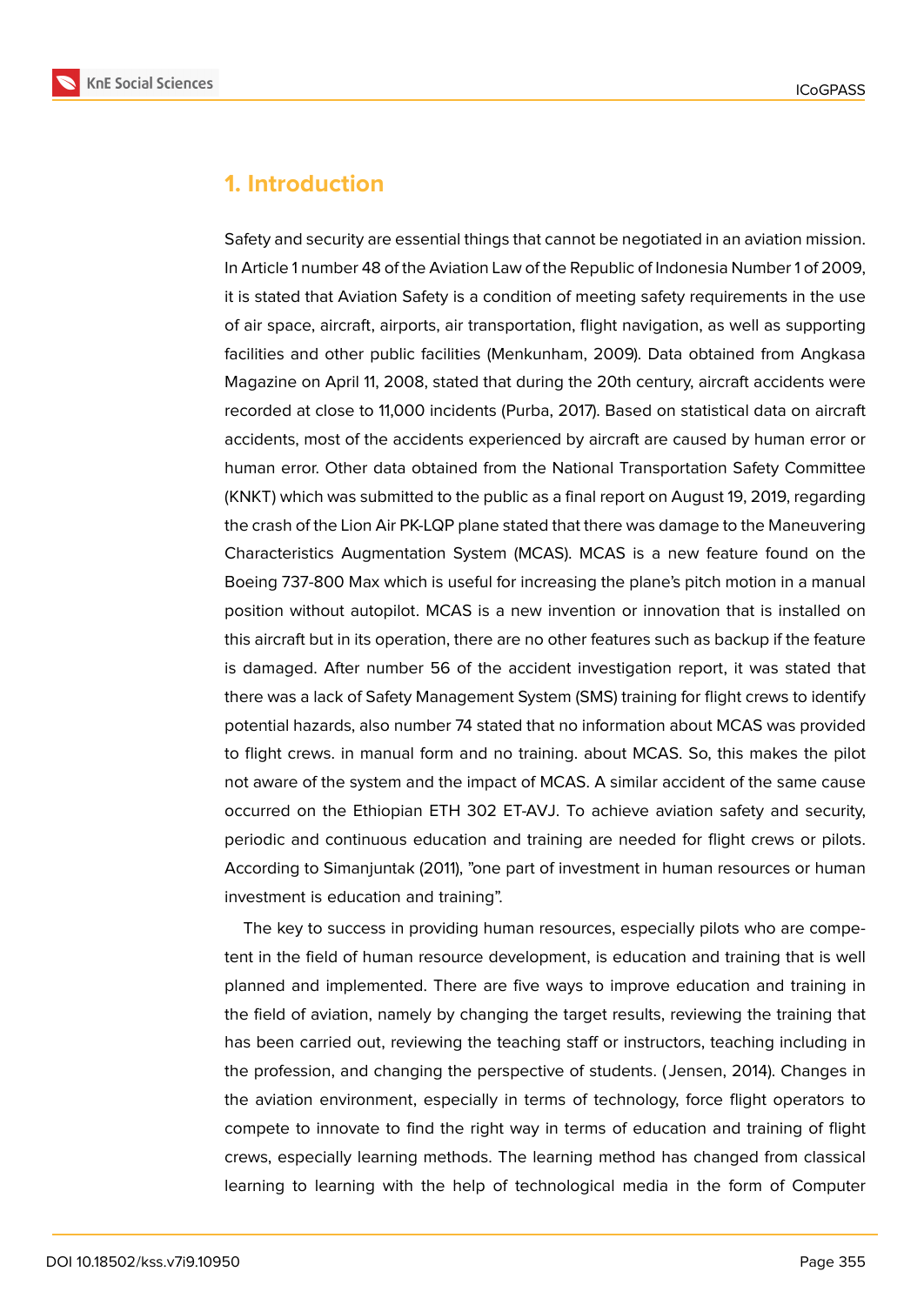

## **1. Introduction**

Safety and security are essential things that cannot be negotiated in an aviation mission. In Article 1 number 48 of the Aviation Law of the Republic of Indonesia Number 1 of 2009, it is stated that Aviation Safety is a condition of meeting safety requirements in the use of air space, aircraft, airports, air transportation, flight navigation, as well as supporting facilities and other public facilities (Menkunham, 2009). Data obtained from Angkasa Magazine on April 11, 2008, stated that during the 20th century, aircraft accidents were recorded at close to 11,000 incidents (Purba, 2017). Based on statistical data on aircraft accidents, most of the accidents experienced by aircraft are caused by human error or human error. Other data obtained from the National Transportation Safety Committee (KNKT) which was submitted to the public as a final report on August 19, 2019, regarding the crash of the Lion Air PK-LQP plane stated that there was damage to the Maneuvering Characteristics Augmentation System (MCAS). MCAS is a new feature found on the Boeing 737-800 Max which is useful for increasing the plane's pitch motion in a manual position without autopilot. MCAS is a new invention or innovation that is installed on this aircraft but in its operation, there are no other features such as backup if the feature is damaged. After number 56 of the accident investigation report, it was stated that there was a lack of Safety Management System (SMS) training for flight crews to identify potential hazards, also number 74 stated that no information about MCAS was provided to flight crews. in manual form and no training. about MCAS. So, this makes the pilot not aware of the system and the impact of MCAS. A similar accident of the same cause occurred on the Ethiopian ETH 302 ET-AVJ. To achieve aviation safety and security, periodic and continuous education and training are needed for flight crews or pilots. According to Simanjuntak (2011), "one part of investment in human resources or human investment is education and training".

The key to success in providing human resources, especially pilots who are competent in the field of human resource development, is education and training that is well planned and implemented. There are five ways to improve education and training in the field of aviation, namely by changing the target results, reviewing the training that has been carried out, reviewing the teaching staff or instructors, teaching including in the profession, and changing the perspective of students. ( Jensen, 2014). Changes in the aviation environment, especially in terms of technology, force flight operators to compete to innovate to find the right way in terms of education and training of flight crews, especially learning methods. The learning method has changed from classical learning to learning with the help of technological media in the form of Computer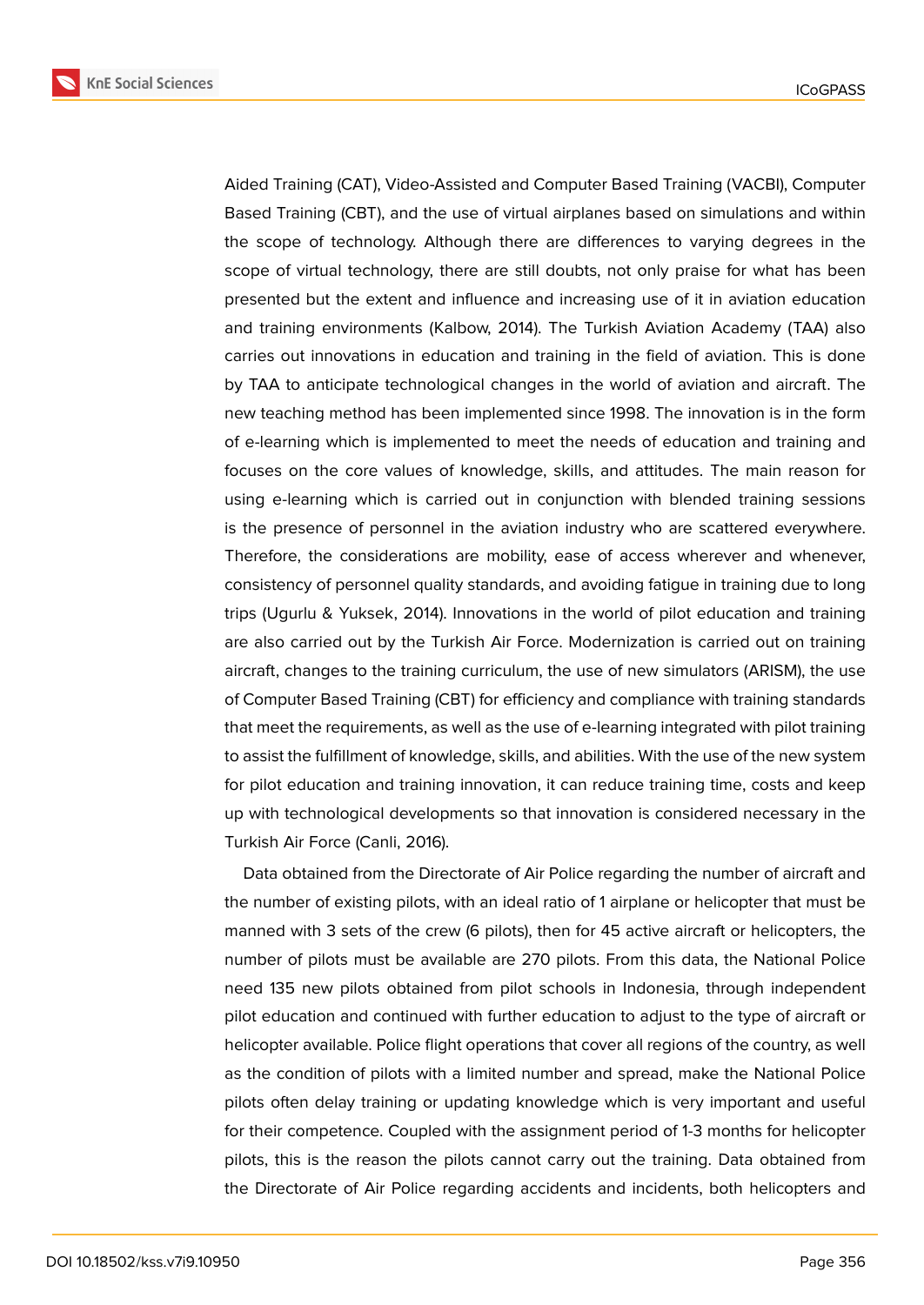

Aided Training (CAT), Video-Assisted and Computer Based Training (VACBI), Computer Based Training (CBT), and the use of virtual airplanes based on simulations and within the scope of technology. Although there are differences to varying degrees in the scope of virtual technology, there are still doubts, not only praise for what has been presented but the extent and influence and increasing use of it in aviation education and training environments (Kalbow, 2014). The Turkish Aviation Academy (TAA) also carries out innovations in education and training in the field of aviation. This is done by TAA to anticipate technological changes in the world of aviation and aircraft. The new teaching method has been implemented since 1998. The innovation is in the form of e-learning which is implemented to meet the needs of education and training and focuses on the core values of knowledge, skills, and attitudes. The main reason for using e-learning which is carried out in conjunction with blended training sessions is the presence of personnel in the aviation industry who are scattered everywhere. Therefore, the considerations are mobility, ease of access wherever and whenever, consistency of personnel quality standards, and avoiding fatigue in training due to long trips (Ugurlu & Yuksek, 2014). Innovations in the world of pilot education and training are also carried out by the Turkish Air Force. Modernization is carried out on training aircraft, changes to the training curriculum, the use of new simulators (ARISM), the use of Computer Based Training (CBT) for efficiency and compliance with training standards that meet the requirements, as well as the use of e-learning integrated with pilot training to assist the fulfillment of knowledge, skills, and abilities. With the use of the new system for pilot education and training innovation, it can reduce training time, costs and keep up with technological developments so that innovation is considered necessary in the Turkish Air Force (Canli, 2016).

Data obtained from the Directorate of Air Police regarding the number of aircraft and the number of existing pilots, with an ideal ratio of 1 airplane or helicopter that must be manned with 3 sets of the crew (6 pilots), then for 45 active aircraft or helicopters, the number of pilots must be available are 270 pilots. From this data, the National Police need 135 new pilots obtained from pilot schools in Indonesia, through independent pilot education and continued with further education to adjust to the type of aircraft or helicopter available. Police flight operations that cover all regions of the country, as well as the condition of pilots with a limited number and spread, make the National Police pilots often delay training or updating knowledge which is very important and useful for their competence. Coupled with the assignment period of 1-3 months for helicopter pilots, this is the reason the pilots cannot carry out the training. Data obtained from the Directorate of Air Police regarding accidents and incidents, both helicopters and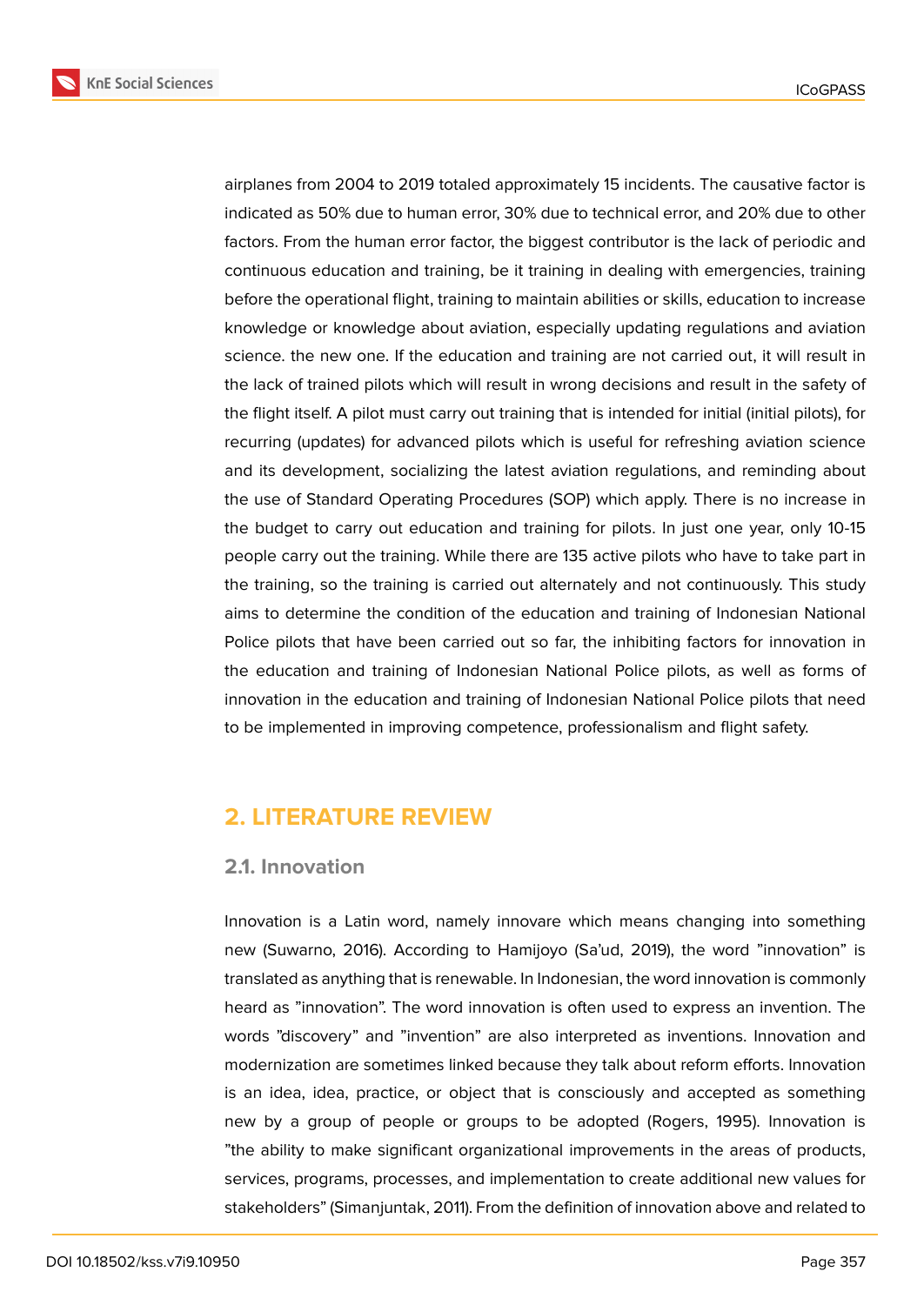

airplanes from 2004 to 2019 totaled approximately 15 incidents. The causative factor is indicated as 50% due to human error, 30% due to technical error, and 20% due to other factors. From the human error factor, the biggest contributor is the lack of periodic and continuous education and training, be it training in dealing with emergencies, training before the operational flight, training to maintain abilities or skills, education to increase knowledge or knowledge about aviation, especially updating regulations and aviation science. the new one. If the education and training are not carried out, it will result in the lack of trained pilots which will result in wrong decisions and result in the safety of the flight itself. A pilot must carry out training that is intended for initial (initial pilots), for recurring (updates) for advanced pilots which is useful for refreshing aviation science and its development, socializing the latest aviation regulations, and reminding about the use of Standard Operating Procedures (SOP) which apply. There is no increase in the budget to carry out education and training for pilots. In just one year, only 10-15 people carry out the training. While there are 135 active pilots who have to take part in the training, so the training is carried out alternately and not continuously. This study aims to determine the condition of the education and training of Indonesian National Police pilots that have been carried out so far, the inhibiting factors for innovation in the education and training of Indonesian National Police pilots, as well as forms of innovation in the education and training of Indonesian National Police pilots that need to be implemented in improving competence, professionalism and flight safety.

## **2. LITERATURE REVIEW**

### **2.1. Innovation**

Innovation is a Latin word, namely innovare which means changing into something new (Suwarno, 2016). According to Hamijoyo (Sa'ud, 2019), the word "innovation" is translated as anything that is renewable. In Indonesian, the word innovation is commonly heard as "innovation". The word innovation is often used to express an invention. The words "discovery" and "invention" are also interpreted as inventions. Innovation and modernization are sometimes linked because they talk about reform efforts. Innovation is an idea, idea, practice, or object that is consciously and accepted as something new by a group of people or groups to be adopted (Rogers, 1995). Innovation is "the ability to make significant organizational improvements in the areas of products, services, programs, processes, and implementation to create additional new values for stakeholders" (Simanjuntak, 2011). From the definition of innovation above and related to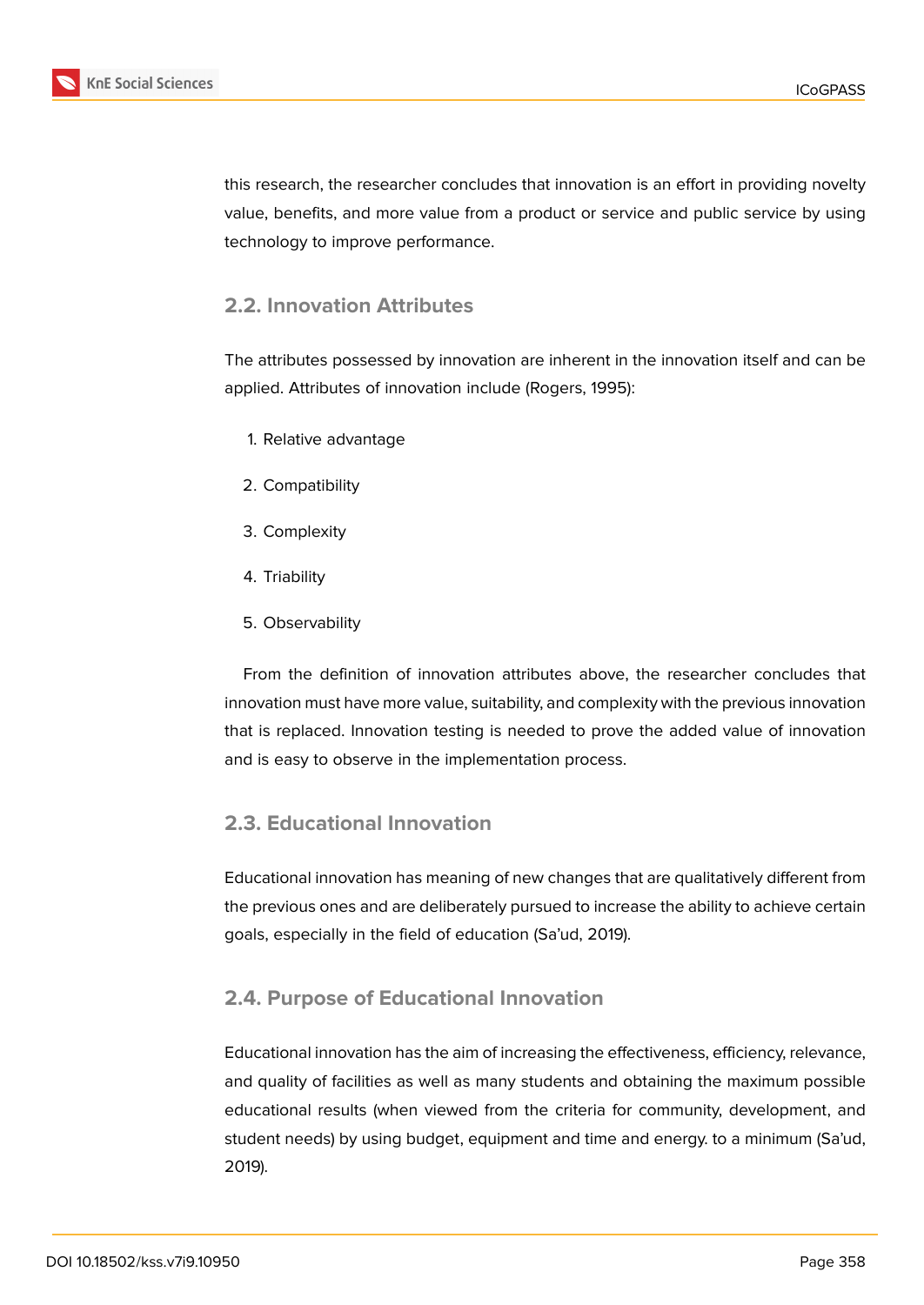

this research, the researcher concludes that innovation is an effort in providing novelty value, benefits, and more value from a product or service and public service by using technology to improve performance.

## **2.2. Innovation Attributes**

The attributes possessed by innovation are inherent in the innovation itself and can be applied. Attributes of innovation include (Rogers, 1995):

- 1. Relative advantage
- 2. Compatibility
- 3. Complexity
- 4. Triability
- 5. Observability

From the definition of innovation attributes above, the researcher concludes that innovation must have more value, suitability, and complexity with the previous innovation that is replaced. Innovation testing is needed to prove the added value of innovation and is easy to observe in the implementation process.

### **2.3. Educational Innovation**

Educational innovation has meaning of new changes that are qualitatively different from the previous ones and are deliberately pursued to increase the ability to achieve certain goals, especially in the field of education (Sa'ud, 2019).

### **2.4. Purpose of Educational Innovation**

Educational innovation has the aim of increasing the effectiveness, efficiency, relevance, and quality of facilities as well as many students and obtaining the maximum possible educational results (when viewed from the criteria for community, development, and student needs) by using budget, equipment and time and energy. to a minimum (Sa'ud, 2019).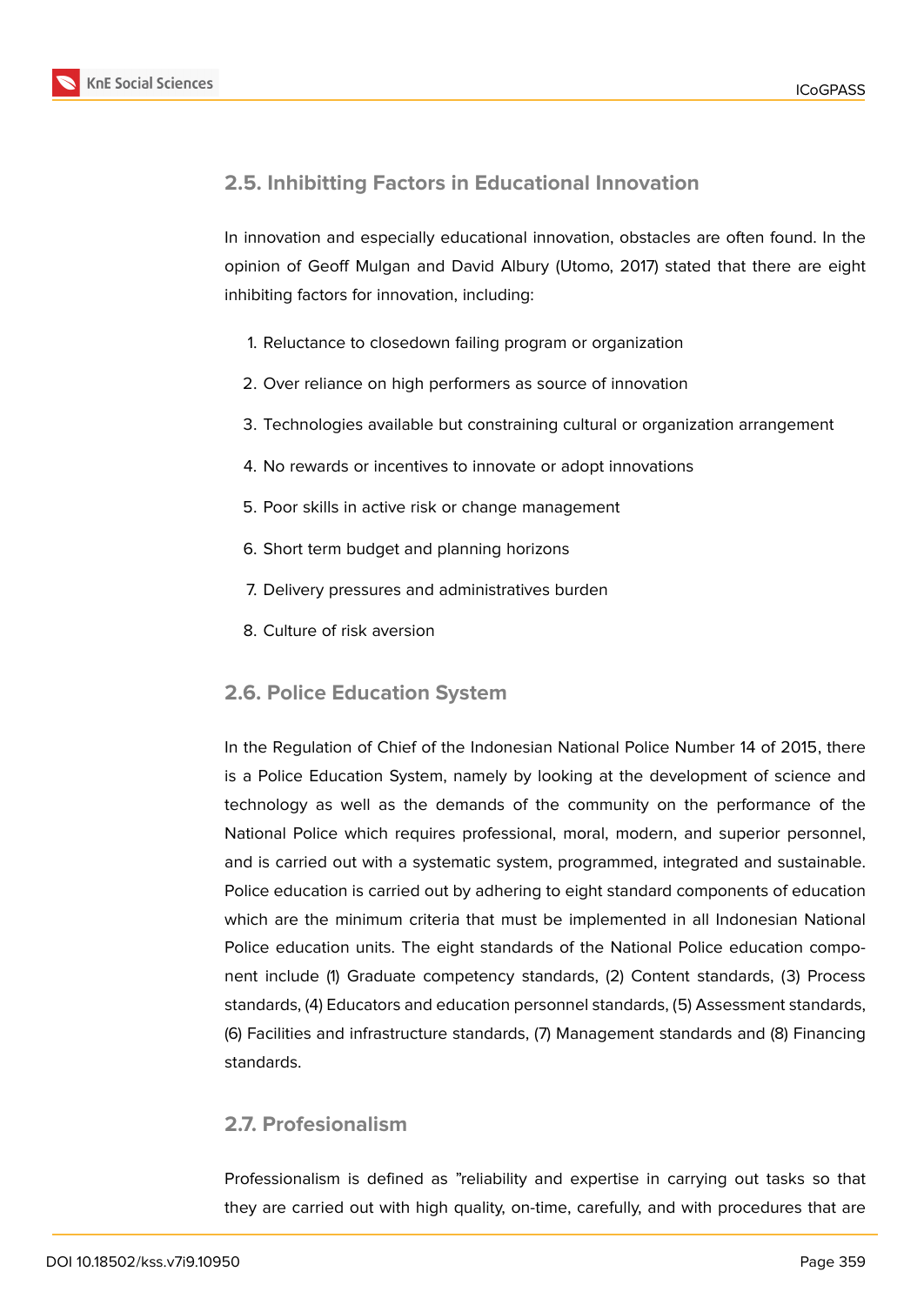

## **2.5. Inhibitting Factors in Educational Innovation**

In innovation and especially educational innovation, obstacles are often found. In the opinion of Geoff Mulgan and David Albury (Utomo, 2017) stated that there are eight inhibiting factors for innovation, including:

- 1. Reluctance to closedown failing program or organization
- 2. Over reliance on high performers as source of innovation
- 3. Technologies available but constraining cultural or organization arrangement
- 4. No rewards or incentives to innovate or adopt innovations
- 5. Poor skills in active risk or change management
- 6. Short term budget and planning horizons
- 7. Delivery pressures and administratives burden
- 8. Culture of risk aversion

## **2.6. Police Education System**

In the Regulation of Chief of the Indonesian National Police Number 14 of 2015, there is a Police Education System, namely by looking at the development of science and technology as well as the demands of the community on the performance of the National Police which requires professional, moral, modern, and superior personnel, and is carried out with a systematic system, programmed, integrated and sustainable. Police education is carried out by adhering to eight standard components of education which are the minimum criteria that must be implemented in all Indonesian National Police education units. The eight standards of the National Police education component include (1) Graduate competency standards, (2) Content standards, (3) Process standards, (4) Educators and education personnel standards, (5) Assessment standards, (6) Facilities and infrastructure standards, (7) Management standards and (8) Financing standards.

## **2.7. Profesionalism**

Professionalism is defined as "reliability and expertise in carrying out tasks so that they are carried out with high quality, on-time, carefully, and with procedures that are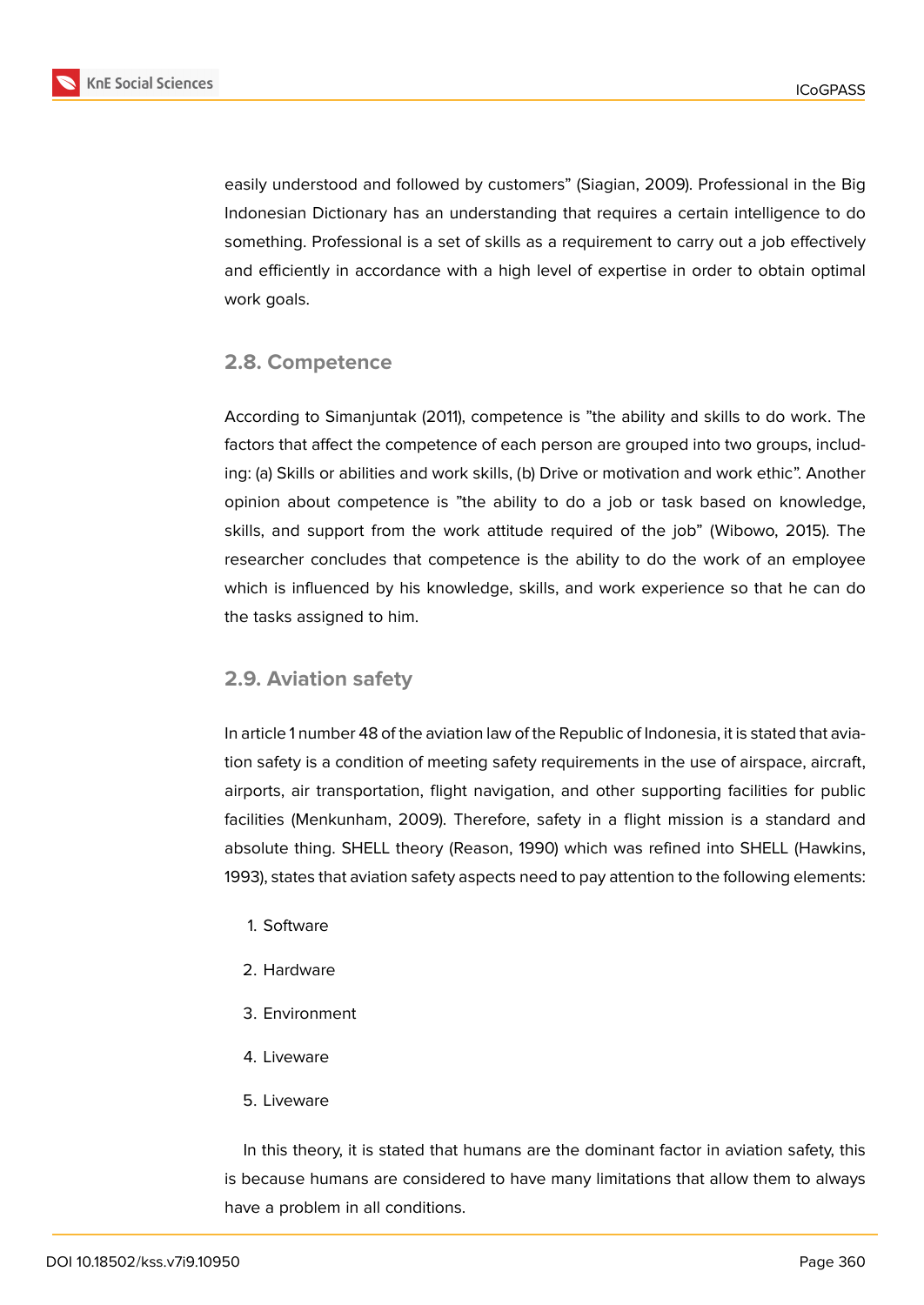

easily understood and followed by customers" (Siagian, 2009). Professional in the Big Indonesian Dictionary has an understanding that requires a certain intelligence to do something. Professional is a set of skills as a requirement to carry out a job effectively and efficiently in accordance with a high level of expertise in order to obtain optimal work goals.

### **2.8. Competence**

According to Simanjuntak (2011), competence is "the ability and skills to do work. The factors that affect the competence of each person are grouped into two groups, including: (a) Skills or abilities and work skills, (b) Drive or motivation and work ethic". Another opinion about competence is "the ability to do a job or task based on knowledge, skills, and support from the work attitude required of the job" (Wibowo, 2015). The researcher concludes that competence is the ability to do the work of an employee which is influenced by his knowledge, skills, and work experience so that he can do the tasks assigned to him.

### **2.9. Aviation safety**

In article 1 number 48 of the aviation law of the Republic of Indonesia, it is stated that aviation safety is a condition of meeting safety requirements in the use of airspace, aircraft, airports, air transportation, flight navigation, and other supporting facilities for public facilities (Menkunham, 2009). Therefore, safety in a flight mission is a standard and absolute thing. SHELL theory (Reason, 1990) which was refined into SHELL (Hawkins, 1993), states that aviation safety aspects need to pay attention to the following elements:

- 1. Software
- 2. Hardware
- 3. Environment
- 4. Liveware
- 5. Liveware

In this theory, it is stated that humans are the dominant factor in aviation safety, this is because humans are considered to have many limitations that allow them to always have a problem in all conditions.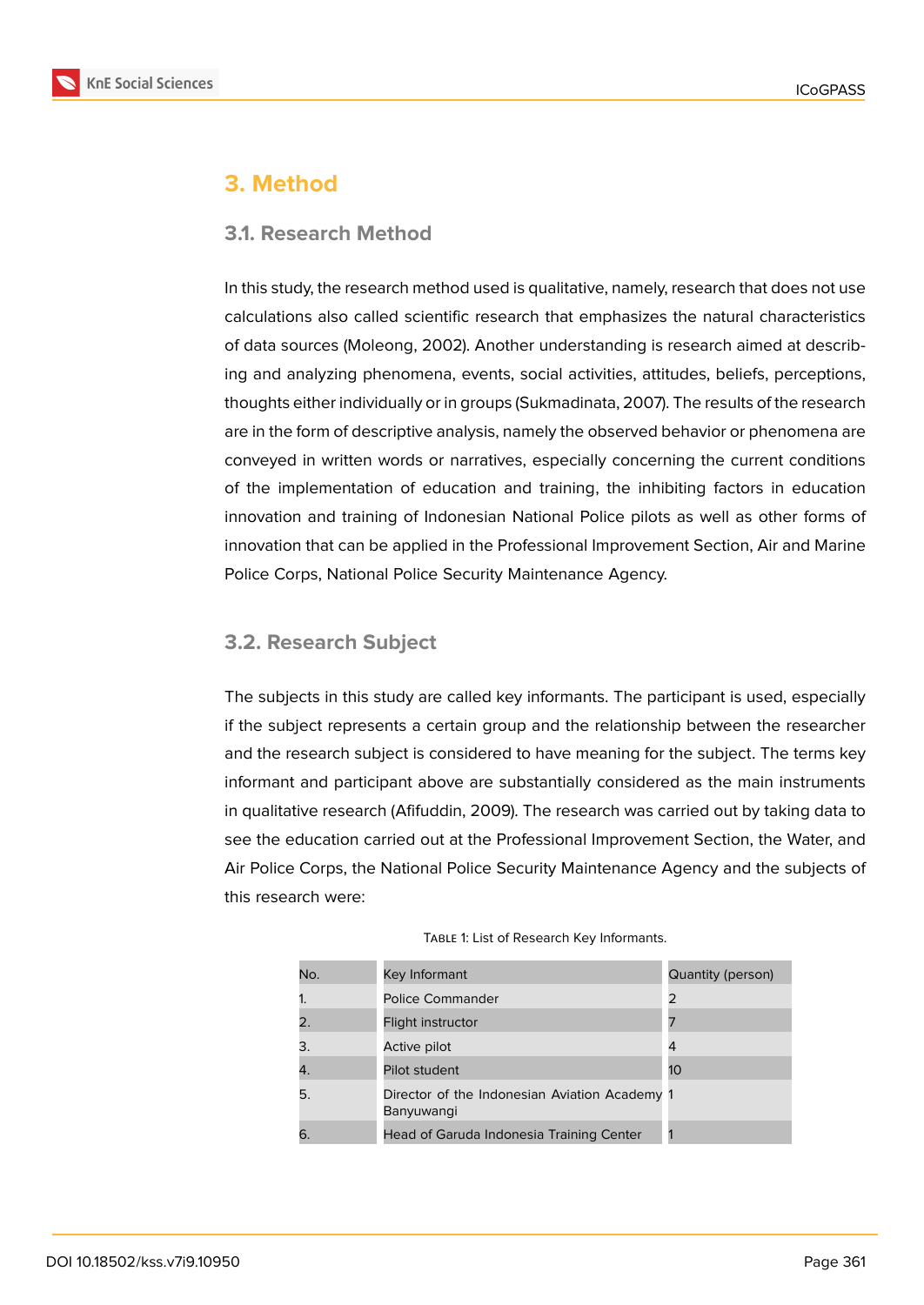

## **3. Method**

### **3.1. Research Method**

In this study, the research method used is qualitative, namely, research that does not use calculations also called scientific research that emphasizes the natural characteristics of data sources (Moleong, 2002). Another understanding is research aimed at describing and analyzing phenomena, events, social activities, attitudes, beliefs, perceptions, thoughts either individually or in groups (Sukmadinata, 2007). The results of the research are in the form of descriptive analysis, namely the observed behavior or phenomena are conveyed in written words or narratives, especially concerning the current conditions of the implementation of education and training, the inhibiting factors in education innovation and training of Indonesian National Police pilots as well as other forms of innovation that can be applied in the Professional Improvement Section, Air and Marine Police Corps, National Police Security Maintenance Agency.

## **3.2. Research Subject**

The subjects in this study are called key informants. The participant is used, especially if the subject represents a certain group and the relationship between the researcher and the research subject is considered to have meaning for the subject. The terms key informant and participant above are substantially considered as the main instruments in qualitative research (Afifuddin, 2009). The research was carried out by taking data to see the education carried out at the Professional Improvement Section, the Water, and Air Police Corps, the National Police Security Maintenance Agency and the subjects of this research were:

| No. | Key Informant                                               | Quantity (person) |
|-----|-------------------------------------------------------------|-------------------|
|     | <b>Police Commander</b>                                     | 2                 |
|     | Flight instructor                                           |                   |
| 3.  | Active pilot                                                | 4                 |
| 4.  | Pilot student                                               | 10                |
| 5.  | Director of the Indonesian Aviation Academy 1<br>Banyuwangi |                   |
|     | Head of Garuda Indonesia Training Center                    |                   |

#### TABLE 1: List of Research Key Informants.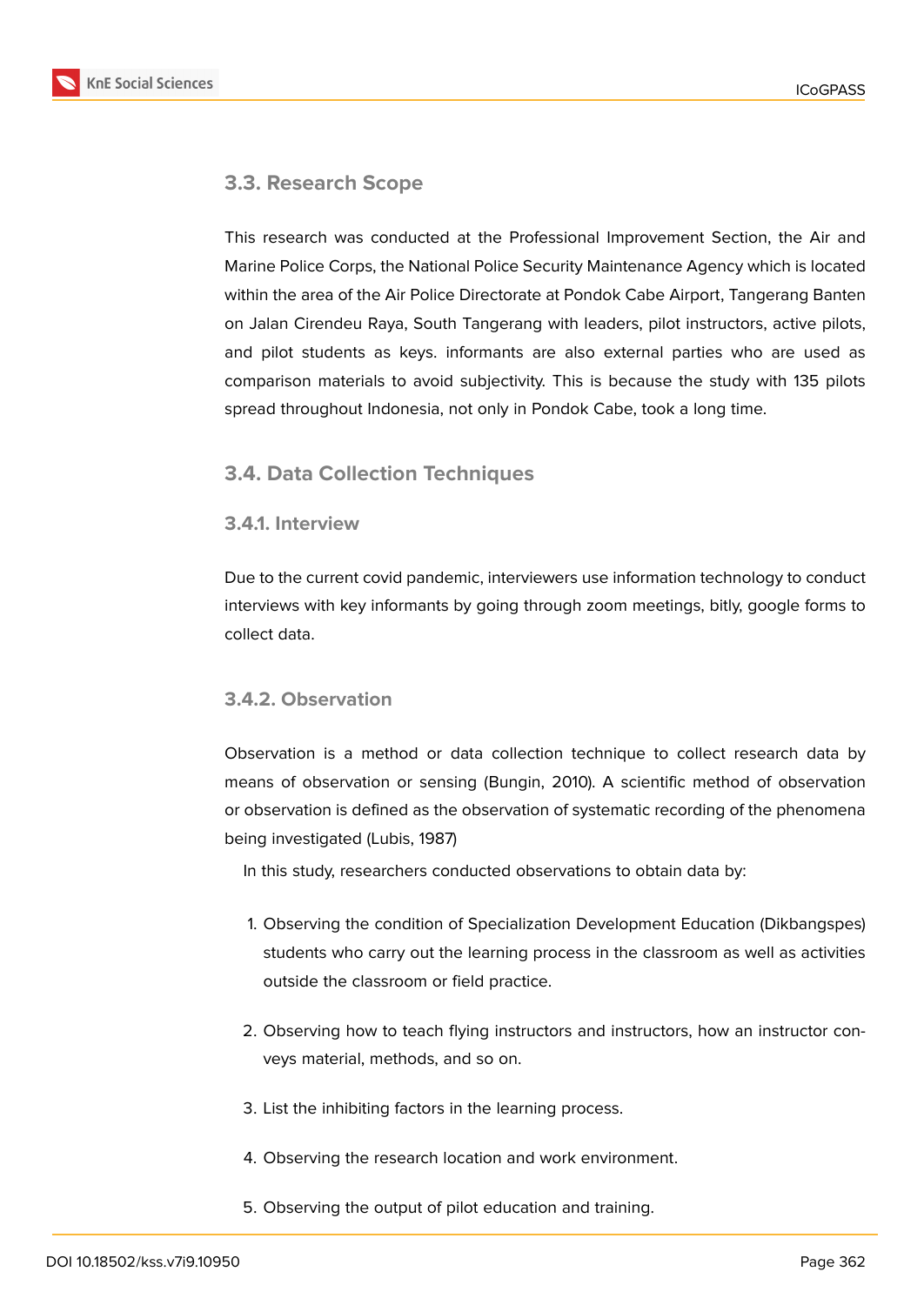## **3.3. Research Scope**

This research was conducted at the Professional Improvement Section, the Air and Marine Police Corps, the National Police Security Maintenance Agency which is located within the area of the Air Police Directorate at Pondok Cabe Airport, Tangerang Banten on Jalan Cirendeu Raya, South Tangerang with leaders, pilot instructors, active pilots, and pilot students as keys. informants are also external parties who are used as comparison materials to avoid subjectivity. This is because the study with 135 pilots spread throughout Indonesia, not only in Pondok Cabe, took a long time.

### **3.4. Data Collection Techniques**

### **3.4.1. Interview**

Due to the current covid pandemic, interviewers use information technology to conduct interviews with key informants by going through zoom meetings, bitly, google forms to collect data.

### **3.4.2. Observation**

Observation is a method or data collection technique to collect research data by means of observation or sensing (Bungin, 2010). A scientific method of observation or observation is defined as the observation of systematic recording of the phenomena being investigated (Lubis, 1987)

In this study, researchers conducted observations to obtain data by:

- 1. Observing the condition of Specialization Development Education (Dikbangspes) students who carry out the learning process in the classroom as well as activities outside the classroom or field practice.
- 2. Observing how to teach flying instructors and instructors, how an instructor conveys material, methods, and so on.
- 3. List the inhibiting factors in the learning process.
- 4. Observing the research location and work environment.
- 5. Observing the output of pilot education and training.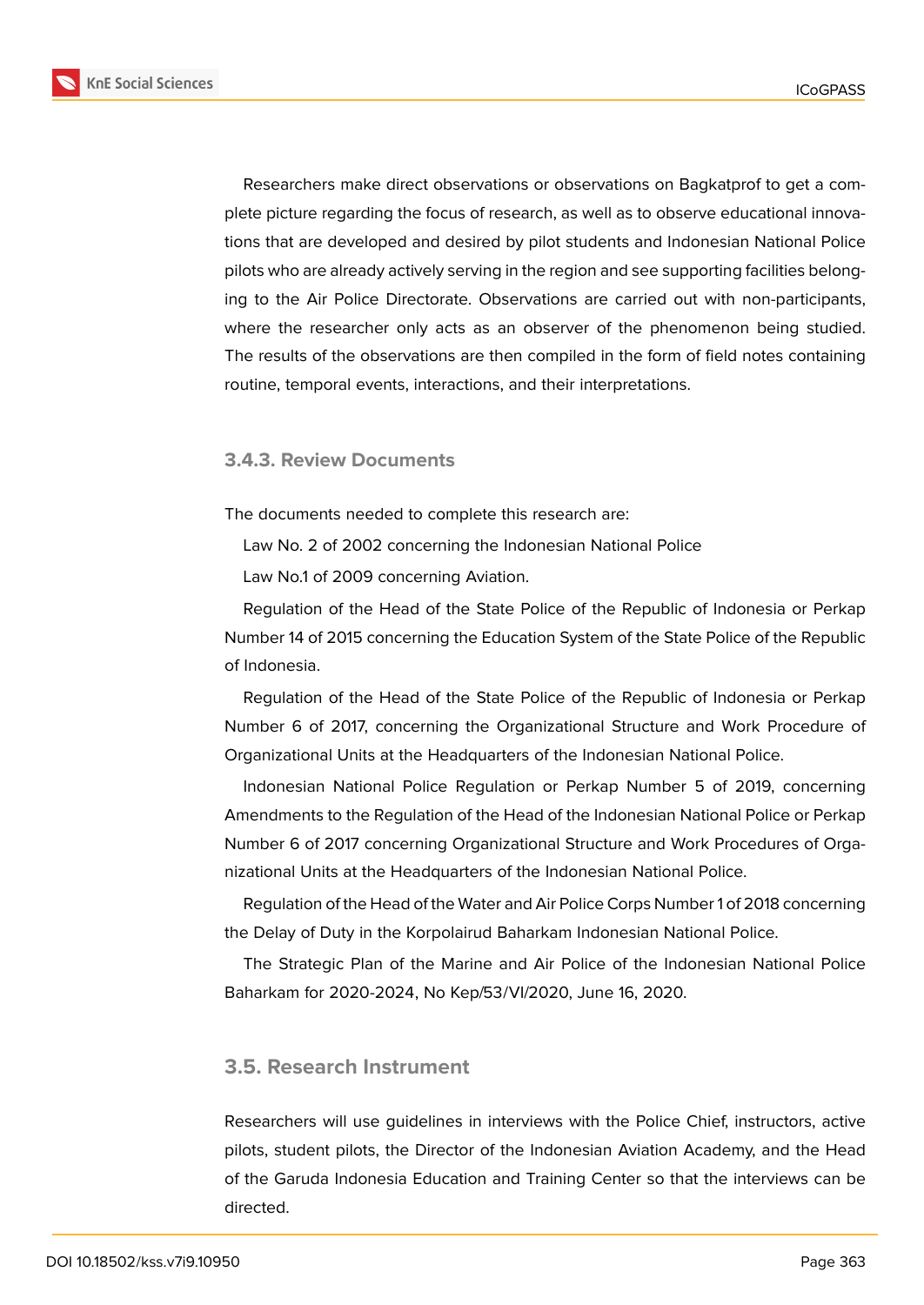

Researchers make direct observations or observations on Bagkatprof to get a complete picture regarding the focus of research, as well as to observe educational innovations that are developed and desired by pilot students and Indonesian National Police pilots who are already actively serving in the region and see supporting facilities belonging to the Air Police Directorate. Observations are carried out with non-participants, where the researcher only acts as an observer of the phenomenon being studied. The results of the observations are then compiled in the form of field notes containing routine, temporal events, interactions, and their interpretations.

### **3.4.3. Review Documents**

The documents needed to complete this research are:

Law No. 2 of 2002 concerning the Indonesian National Police

Law No.1 of 2009 concerning Aviation.

Regulation of the Head of the State Police of the Republic of Indonesia or Perkap Number 14 of 2015 concerning the Education System of the State Police of the Republic of Indonesia.

Regulation of the Head of the State Police of the Republic of Indonesia or Perkap Number 6 of 2017, concerning the Organizational Structure and Work Procedure of Organizational Units at the Headquarters of the Indonesian National Police.

Indonesian National Police Regulation or Perkap Number 5 of 2019, concerning Amendments to the Regulation of the Head of the Indonesian National Police or Perkap Number 6 of 2017 concerning Organizational Structure and Work Procedures of Organizational Units at the Headquarters of the Indonesian National Police.

Regulation of the Head of the Water and Air Police Corps Number 1 of 2018 concerning the Delay of Duty in the Korpolairud Baharkam Indonesian National Police.

The Strategic Plan of the Marine and Air Police of the Indonesian National Police Baharkam for 2020-2024, No Kep/53/VI/2020, June 16, 2020.

### **3.5. Research Instrument**

Researchers will use guidelines in interviews with the Police Chief, instructors, active pilots, student pilots, the Director of the Indonesian Aviation Academy, and the Head of the Garuda Indonesia Education and Training Center so that the interviews can be directed.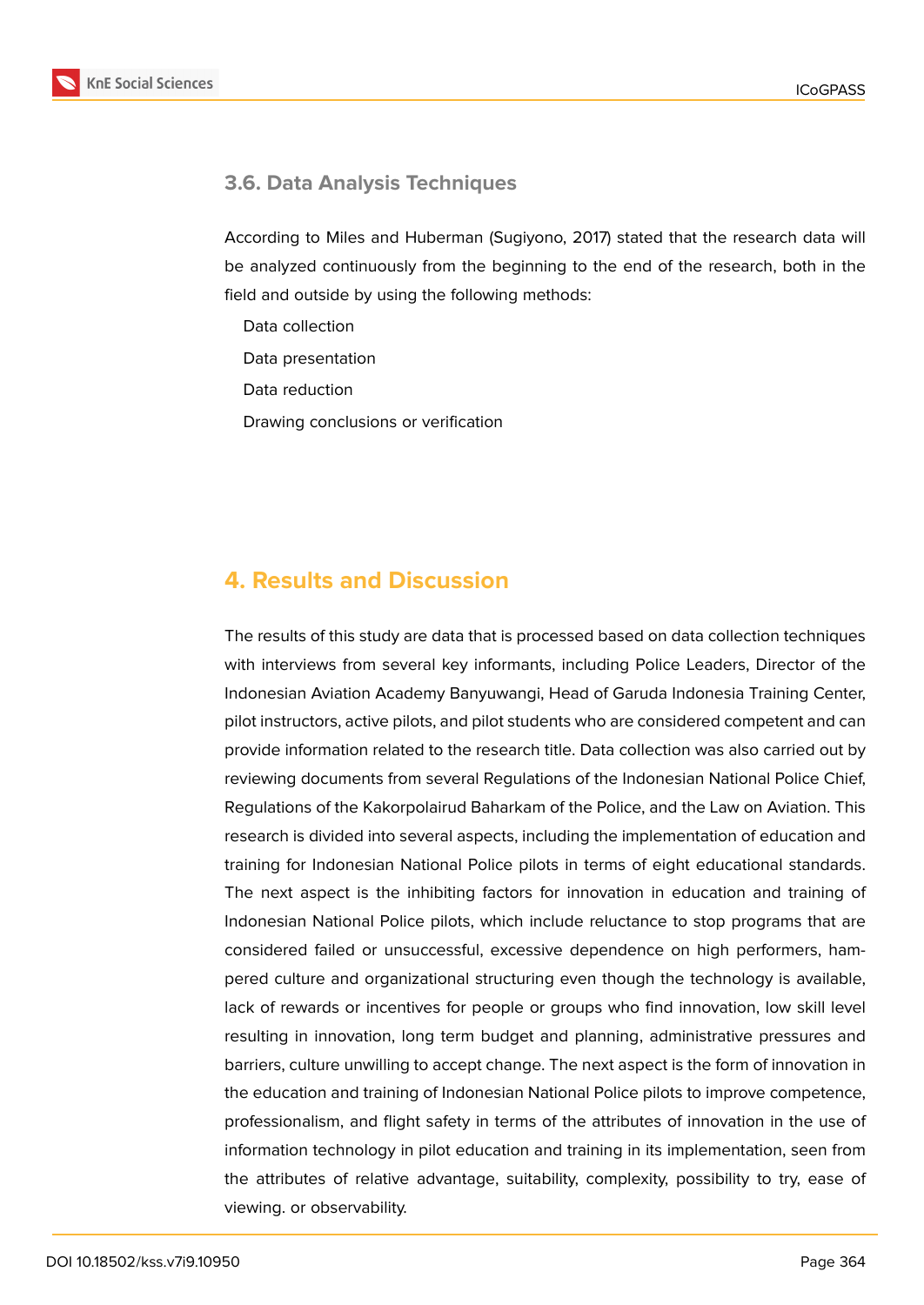

## **3.6. Data Analysis Techniques**

According to Miles and Huberman (Sugiyono, 2017) stated that the research data will be analyzed continuously from the beginning to the end of the research, both in the field and outside by using the following methods:

Data collection

Data presentation

Data reduction

Drawing conclusions or verification

## **4. Results and Discussion**

The results of this study are data that is processed based on data collection techniques with interviews from several key informants, including Police Leaders, Director of the Indonesian Aviation Academy Banyuwangi, Head of Garuda Indonesia Training Center, pilot instructors, active pilots, and pilot students who are considered competent and can provide information related to the research title. Data collection was also carried out by reviewing documents from several Regulations of the Indonesian National Police Chief, Regulations of the Kakorpolairud Baharkam of the Police, and the Law on Aviation. This research is divided into several aspects, including the implementation of education and training for Indonesian National Police pilots in terms of eight educational standards. The next aspect is the inhibiting factors for innovation in education and training of Indonesian National Police pilots, which include reluctance to stop programs that are considered failed or unsuccessful, excessive dependence on high performers, hampered culture and organizational structuring even though the technology is available, lack of rewards or incentives for people or groups who find innovation, low skill level resulting in innovation, long term budget and planning, administrative pressures and barriers, culture unwilling to accept change. The next aspect is the form of innovation in the education and training of Indonesian National Police pilots to improve competence, professionalism, and flight safety in terms of the attributes of innovation in the use of information technology in pilot education and training in its implementation, seen from the attributes of relative advantage, suitability, complexity, possibility to try, ease of viewing. or observability.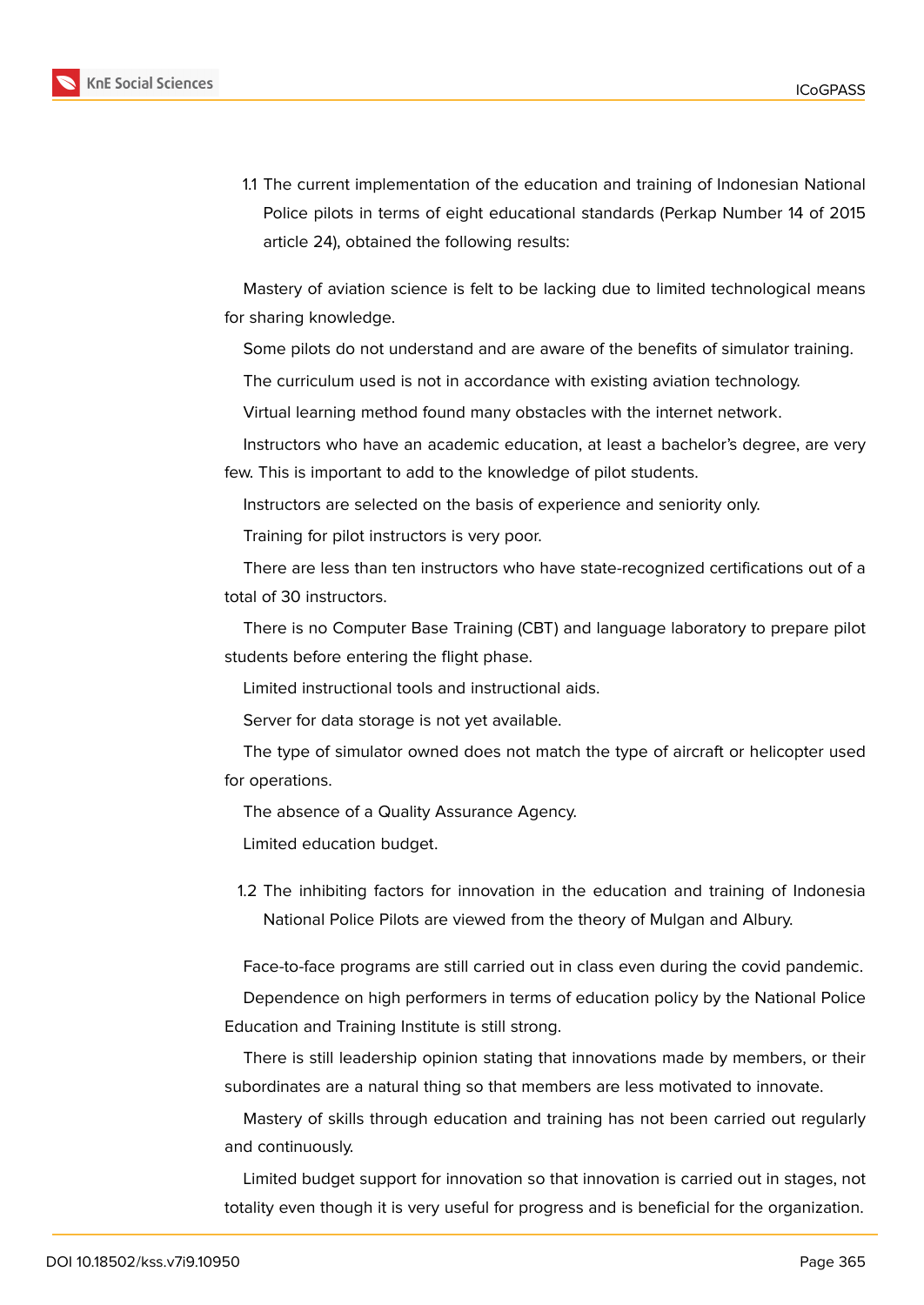

1.1 The current implementation of the education and training of Indonesian National Police pilots in terms of eight educational standards (Perkap Number 14 of 2015 article 24), obtained the following results:

Mastery of aviation science is felt to be lacking due to limited technological means for sharing knowledge.

Some pilots do not understand and are aware of the benefits of simulator training.

The curriculum used is not in accordance with existing aviation technology.

Virtual learning method found many obstacles with the internet network.

Instructors who have an academic education, at least a bachelor's degree, are very few. This is important to add to the knowledge of pilot students.

Instructors are selected on the basis of experience and seniority only.

Training for pilot instructors is very poor.

There are less than ten instructors who have state-recognized certifications out of a total of 30 instructors.

There is no Computer Base Training (CBT) and language laboratory to prepare pilot students before entering the flight phase.

Limited instructional tools and instructional aids.

Server for data storage is not yet available.

The type of simulator owned does not match the type of aircraft or helicopter used for operations.

The absence of a Quality Assurance Agency.

Limited education budget.

1.2 The inhibiting factors for innovation in the education and training of Indonesia National Police Pilots are viewed from the theory of Mulgan and Albury.

Face-to-face programs are still carried out in class even during the covid pandemic.

Dependence on high performers in terms of education policy by the National Police Education and Training Institute is still strong.

There is still leadership opinion stating that innovations made by members, or their subordinates are a natural thing so that members are less motivated to innovate.

Mastery of skills through education and training has not been carried out regularly and continuously.

Limited budget support for innovation so that innovation is carried out in stages, not totality even though it is very useful for progress and is beneficial for the organization.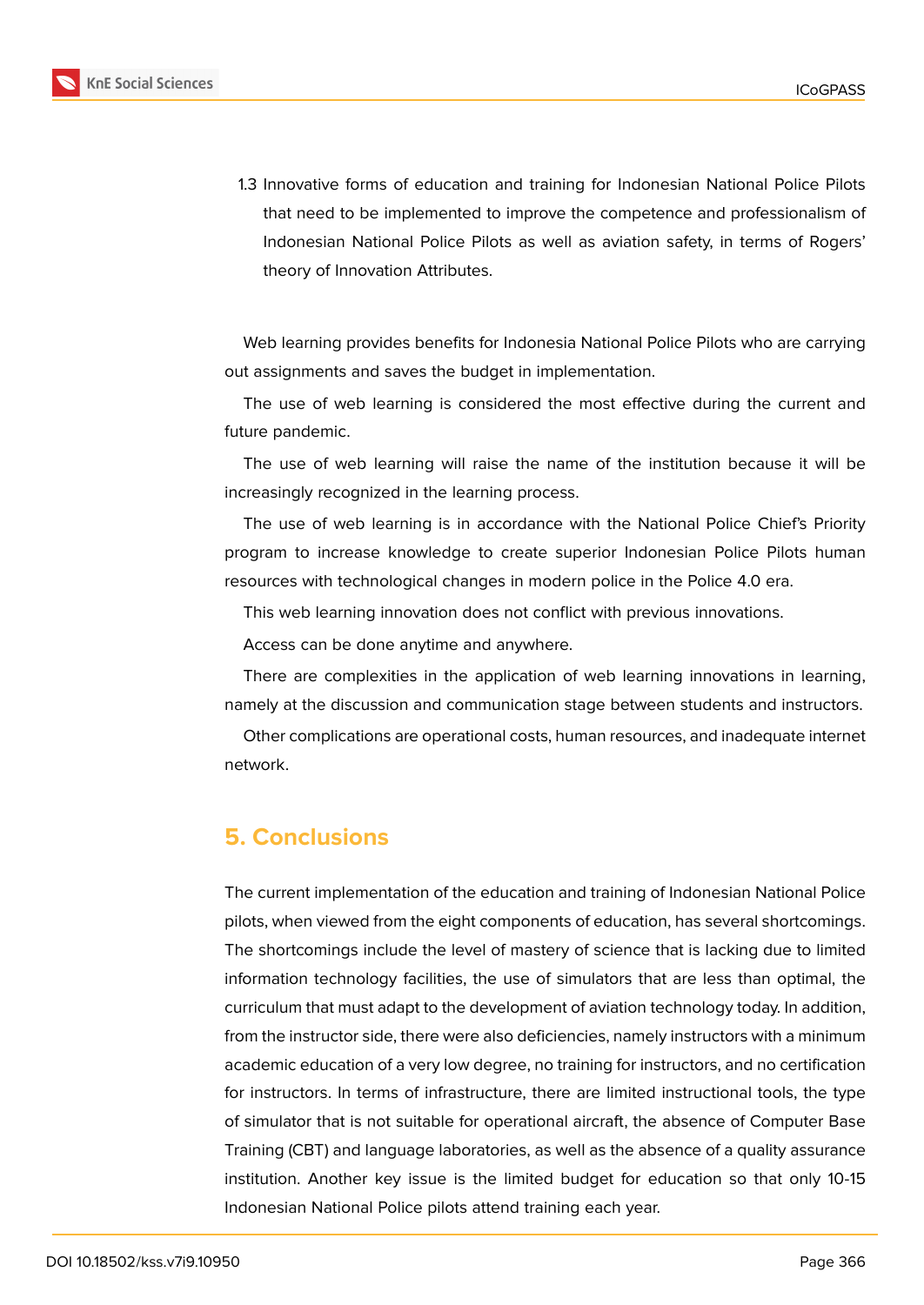

1.3 Innovative forms of education and training for Indonesian National Police Pilots that need to be implemented to improve the competence and professionalism of Indonesian National Police Pilots as well as aviation safety, in terms of Rogers' theory of Innovation Attributes.

Web learning provides benefits for Indonesia National Police Pilots who are carrying out assignments and saves the budget in implementation.

The use of web learning is considered the most effective during the current and future pandemic.

The use of web learning will raise the name of the institution because it will be increasingly recognized in the learning process.

The use of web learning is in accordance with the National Police Chief's Priority program to increase knowledge to create superior Indonesian Police Pilots human resources with technological changes in modern police in the Police 4.0 era.

This web learning innovation does not conflict with previous innovations.

Access can be done anytime and anywhere.

There are complexities in the application of web learning innovations in learning, namely at the discussion and communication stage between students and instructors.

Other complications are operational costs, human resources, and inadequate internet network.

## **5. Conclusions**

The current implementation of the education and training of Indonesian National Police pilots, when viewed from the eight components of education, has several shortcomings. The shortcomings include the level of mastery of science that is lacking due to limited information technology facilities, the use of simulators that are less than optimal, the curriculum that must adapt to the development of aviation technology today. In addition, from the instructor side, there were also deficiencies, namely instructors with a minimum academic education of a very low degree, no training for instructors, and no certification for instructors. In terms of infrastructure, there are limited instructional tools, the type of simulator that is not suitable for operational aircraft, the absence of Computer Base Training (CBT) and language laboratories, as well as the absence of a quality assurance institution. Another key issue is the limited budget for education so that only 10-15 Indonesian National Police pilots attend training each year.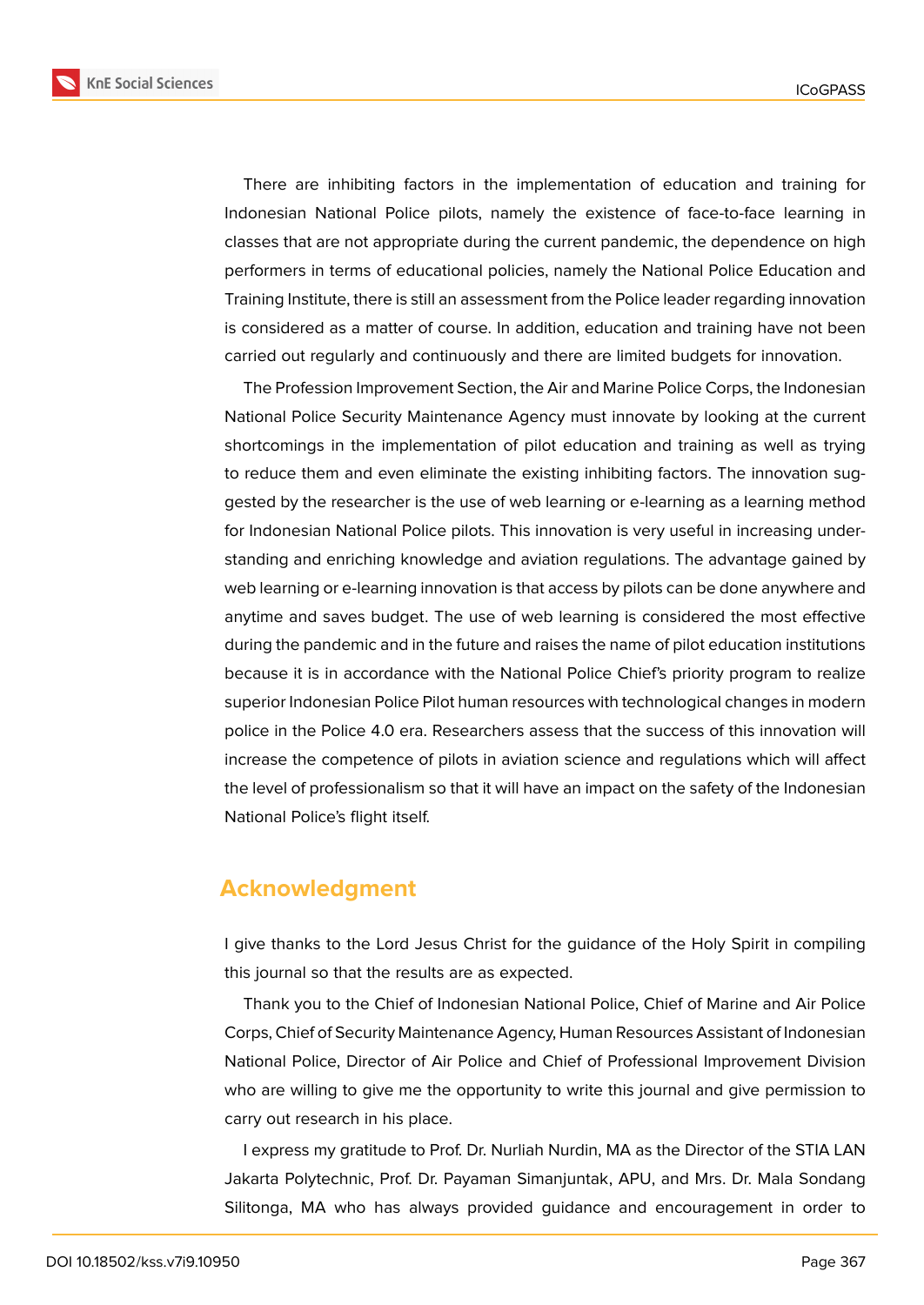

There are inhibiting factors in the implementation of education and training for Indonesian National Police pilots, namely the existence of face-to-face learning in classes that are not appropriate during the current pandemic, the dependence on high performers in terms of educational policies, namely the National Police Education and Training Institute, there is still an assessment from the Police leader regarding innovation is considered as a matter of course. In addition, education and training have not been carried out regularly and continuously and there are limited budgets for innovation.

The Profession Improvement Section, the Air and Marine Police Corps, the Indonesian National Police Security Maintenance Agency must innovate by looking at the current shortcomings in the implementation of pilot education and training as well as trying to reduce them and even eliminate the existing inhibiting factors. The innovation suggested by the researcher is the use of web learning or e-learning as a learning method for Indonesian National Police pilots. This innovation is very useful in increasing understanding and enriching knowledge and aviation regulations. The advantage gained by web learning or e-learning innovation is that access by pilots can be done anywhere and anytime and saves budget. The use of web learning is considered the most effective during the pandemic and in the future and raises the name of pilot education institutions because it is in accordance with the National Police Chief's priority program to realize superior Indonesian Police Pilot human resources with technological changes in modern police in the Police 4.0 era. Researchers assess that the success of this innovation will increase the competence of pilots in aviation science and regulations which will affect the level of professionalism so that it will have an impact on the safety of the Indonesian National Police's flight itself.

## **Acknowledgment**

I give thanks to the Lord Jesus Christ for the guidance of the Holy Spirit in compiling this journal so that the results are as expected.

Thank you to the Chief of Indonesian National Police, Chief of Marine and Air Police Corps, Chief of Security Maintenance Agency, Human Resources Assistant of Indonesian National Police, Director of Air Police and Chief of Professional Improvement Division who are willing to give me the opportunity to write this journal and give permission to carry out research in his place.

I express my gratitude to Prof. Dr. Nurliah Nurdin, MA as the Director of the STIA LAN Jakarta Polytechnic, Prof. Dr. Payaman Simanjuntak, APU, and Mrs. Dr. Mala Sondang Silitonga, MA who has always provided guidance and encouragement in order to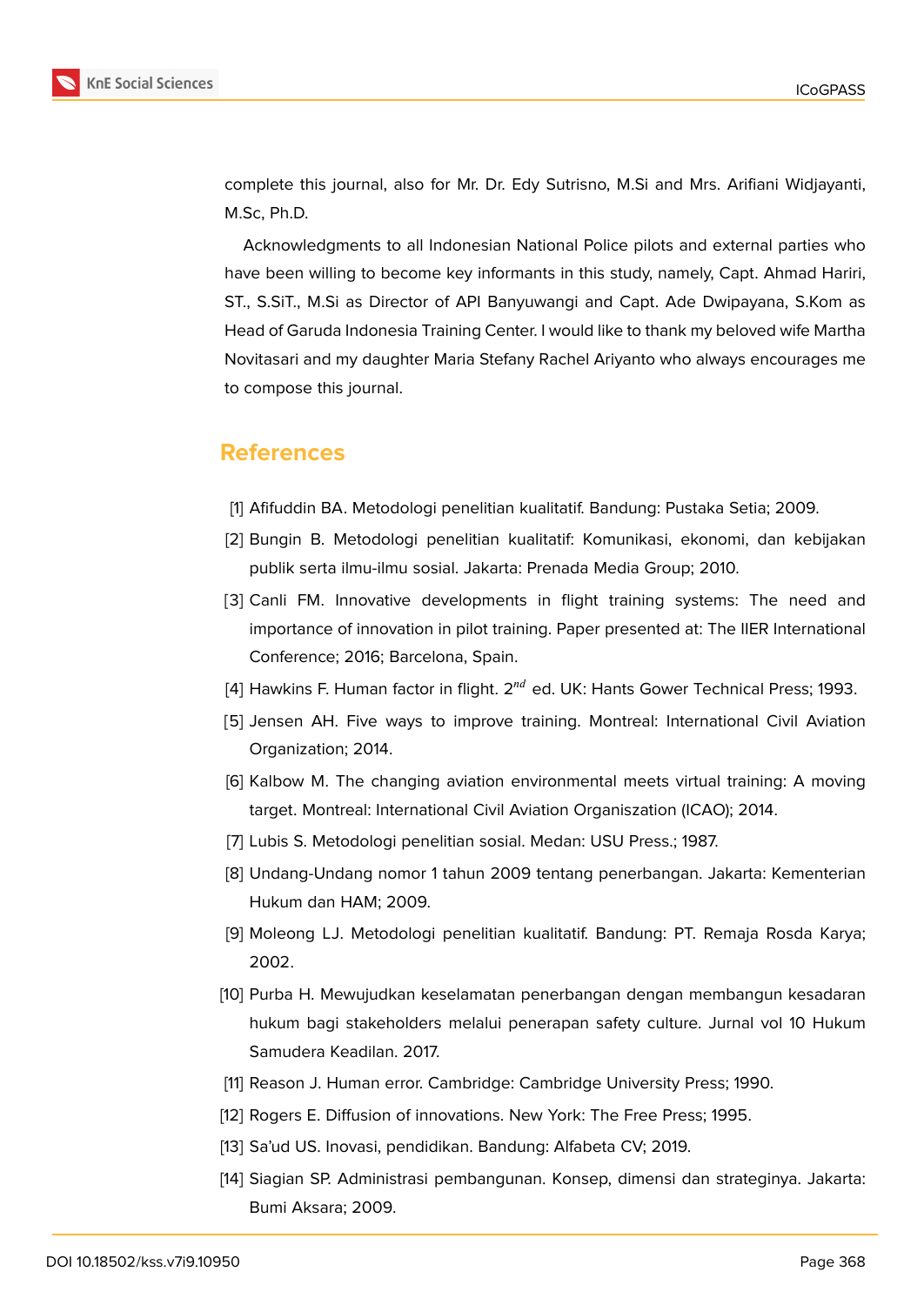

complete this journal, also for Mr. Dr. Edy Sutrisno, M.Si and Mrs. Arifiani Widjayanti, M.Sc, Ph.D.

Acknowledgments to all Indonesian National Police pilots and external parties who have been willing to become key informants in this study, namely, Capt. Ahmad Hariri, ST., S.SiT., M.Si as Director of API Banyuwangi and Capt. Ade Dwipayana, S.Kom as Head of Garuda Indonesia Training Center. I would like to thank my beloved wife Martha Novitasari and my daughter Maria Stefany Rachel Ariyanto who always encourages me to compose this journal.

## **References**

- [1] Afifuddin BA. Metodologi penelitian kualitatif. Bandung: Pustaka Setia; 2009.
- [2] Bungin B. Metodologi penelitian kualitatif: Komunikasi, ekonomi, dan kebijakan publik serta ilmu-ilmu sosial. Jakarta: Prenada Media Group; 2010.
- [3] Canli FM. Innovative developments in flight training systems: The need and importance of innovation in pilot training. Paper presented at: The IIER International Conference; 2016; Barcelona, Spain.
- [4] Hawkins F. Human factor in flight.  $2^{nd}$  ed. UK: Hants Gower Technical Press; 1993.
- [5] Jensen AH. Five ways to improve training. Montreal: International Civil Aviation Organization; 2014.
- [6] Kalbow M. The changing aviation environmental meets virtual training: A moving target. Montreal: International Civil Aviation Organiszation (ICAO); 2014.
- [7] Lubis S. Metodologi penelitian sosial. Medan: USU Press.; 1987.
- [8] Undang-Undang nomor 1 tahun 2009 tentang penerbangan. Jakarta: Kementerian Hukum dan HAM; 2009.
- [9] Moleong LJ. Metodologi penelitian kualitatif. Bandung: PT. Remaja Rosda Karya; 2002.
- [10] Purba H. Mewujudkan keselamatan penerbangan dengan membangun kesadaran hukum bagi stakeholders melalui penerapan safety culture. Jurnal vol 10 Hukum Samudera Keadilan. 2017.
- [11] Reason J. Human error. Cambridge: Cambridge University Press; 1990.
- [12] Rogers E. Diffusion of innovations. New York: The Free Press; 1995.
- [13] Sa'ud US. Inovasi, pendidikan. Bandung: Alfabeta CV; 2019.
- [14] Siagian SP. Administrasi pembangunan. Konsep, dimensi dan strateginya. Jakarta: Bumi Aksara; 2009.